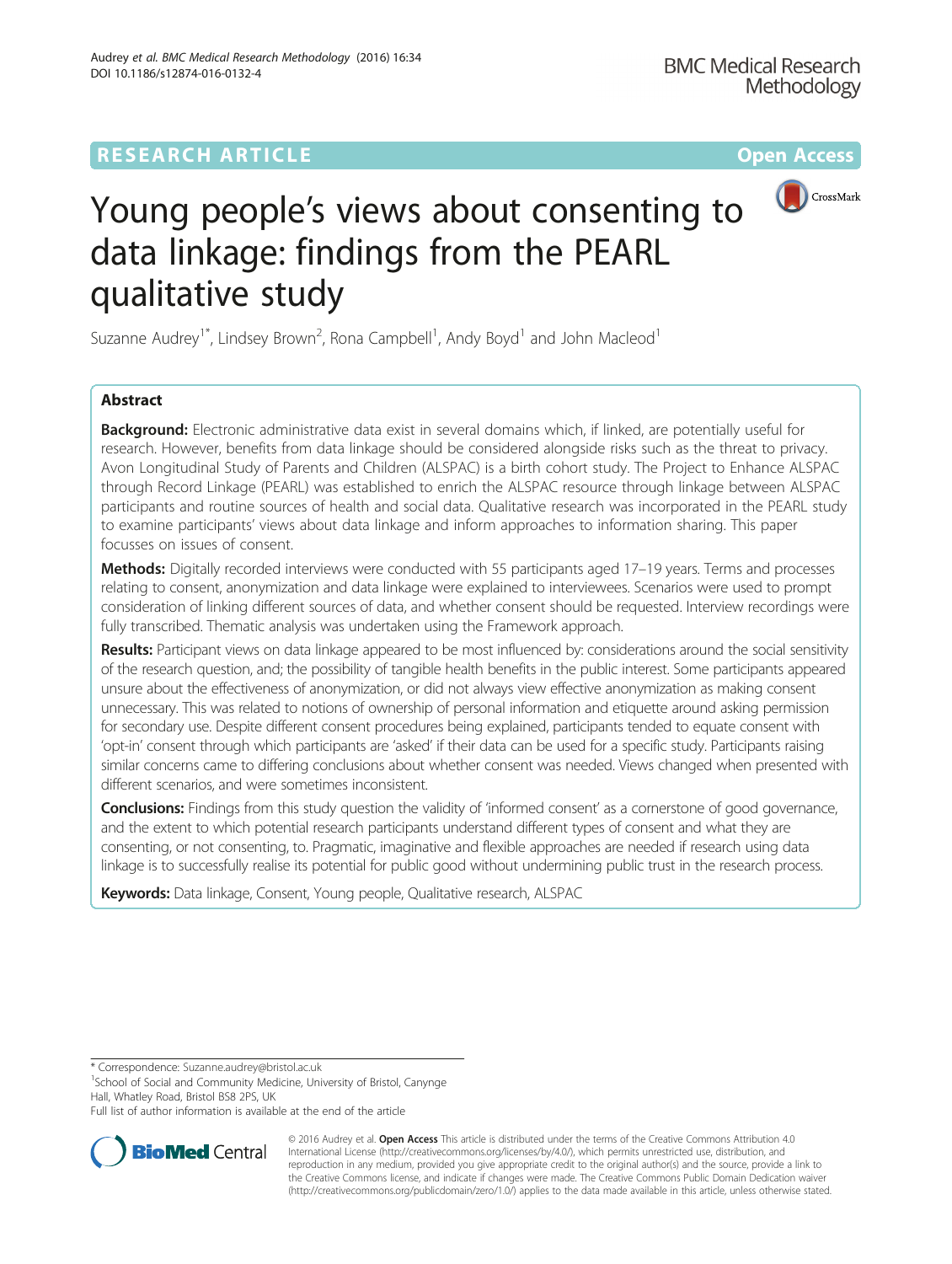# **RESEARCH ARTICLE External Structure Community Community Community Community Community Community Community Community**



# Young people's views about consenting to data linkage: findings from the PEARL qualitative study

Suzanne Audrey<sup>1\*</sup>, Lindsey Brown<sup>2</sup>, Rona Campbell<sup>1</sup>, Andy Boyd<sup>1</sup> and John Macleod<sup>1</sup>

# Abstract

Background: Electronic administrative data exist in several domains which, if linked, are potentially useful for research. However, benefits from data linkage should be considered alongside risks such as the threat to privacy. Avon Longitudinal Study of Parents and Children (ALSPAC) is a birth cohort study. The Project to Enhance ALSPAC through Record Linkage (PEARL) was established to enrich the ALSPAC resource through linkage between ALSPAC participants and routine sources of health and social data. Qualitative research was incorporated in the PEARL study to examine participants' views about data linkage and inform approaches to information sharing. This paper focusses on issues of consent.

Methods: Digitally recorded interviews were conducted with 55 participants aged 17–19 years. Terms and processes relating to consent, anonymization and data linkage were explained to interviewees. Scenarios were used to prompt consideration of linking different sources of data, and whether consent should be requested. Interview recordings were fully transcribed. Thematic analysis was undertaken using the Framework approach.

Results: Participant views on data linkage appeared to be most influenced by: considerations around the social sensitivity of the research question, and; the possibility of tangible health benefits in the public interest. Some participants appeared unsure about the effectiveness of anonymization, or did not always view effective anonymization as making consent unnecessary. This was related to notions of ownership of personal information and etiquette around asking permission for secondary use. Despite different consent procedures being explained, participants tended to equate consent with 'opt-in' consent through which participants are 'asked' if their data can be used for a specific study. Participants raising similar concerns came to differing conclusions about whether consent was needed. Views changed when presented with different scenarios, and were sometimes inconsistent.

**Conclusions:** Findings from this study question the validity of 'informed consent' as a cornerstone of good governance, and the extent to which potential research participants understand different types of consent and what they are consenting, or not consenting, to. Pragmatic, imaginative and flexible approaches are needed if research using data linkage is to successfully realise its potential for public good without undermining public trust in the research process.

Keywords: Data linkage, Consent, Young people, Qualitative research, ALSPAC

\* Correspondence: [Suzanne.audrey@bristol.ac.uk](mailto:Suzanne.audrey@bristol.ac.uk) <sup>1</sup>

<sup>1</sup>School of Social and Community Medicine, University of Bristol, Canynge Hall, Whatley Road, Bristol BS8 2PS, UK

Full list of author information is available at the end of the article



© 2016 Audrey et al. Open Access This article is distributed under the terms of the Creative Commons Attribution 4.0 International License [\(http://creativecommons.org/licenses/by/4.0/](http://creativecommons.org/licenses/by/4.0/)), which permits unrestricted use, distribution, and reproduction in any medium, provided you give appropriate credit to the original author(s) and the source, provide a link to the Creative Commons license, and indicate if changes were made. The Creative Commons Public Domain Dedication waiver [\(http://creativecommons.org/publicdomain/zero/1.0/](http://creativecommons.org/publicdomain/zero/1.0/)) applies to the data made available in this article, unless otherwise stated.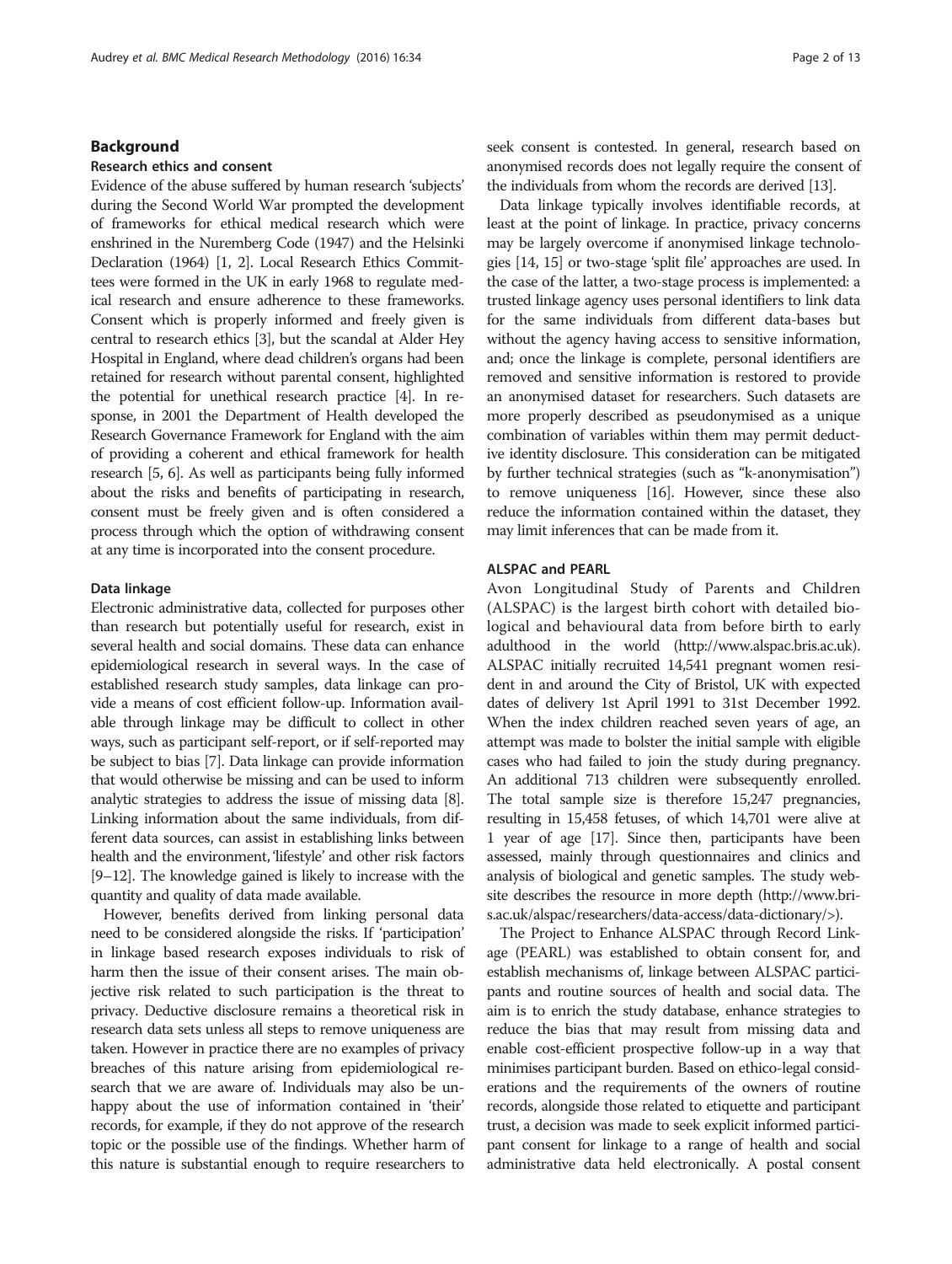# Background

# Research ethics and consent

Evidence of the abuse suffered by human research 'subjects' during the Second World War prompted the development of frameworks for ethical medical research which were enshrined in the Nuremberg Code (1947) and the Helsinki Declaration (1964) [\[1,](#page-11-0) [2\]](#page-12-0). Local Research Ethics Committees were formed in the UK in early 1968 to regulate medical research and ensure adherence to these frameworks. Consent which is properly informed and freely given is central to research ethics [\[3\]](#page-12-0), but the scandal at Alder Hey Hospital in England, where dead children's organs had been retained for research without parental consent, highlighted the potential for unethical research practice [\[4\]](#page-12-0). In response, in 2001 the Department of Health developed the Research Governance Framework for England with the aim of providing a coherent and ethical framework for health research [\[5](#page-12-0), [6\]](#page-12-0). As well as participants being fully informed about the risks and benefits of participating in research, consent must be freely given and is often considered a process through which the option of withdrawing consent at any time is incorporated into the consent procedure.

#### Data linkage

Electronic administrative data, collected for purposes other than research but potentially useful for research, exist in several health and social domains. These data can enhance epidemiological research in several ways. In the case of established research study samples, data linkage can provide a means of cost efficient follow-up. Information available through linkage may be difficult to collect in other ways, such as participant self-report, or if self-reported may be subject to bias [[7\]](#page-12-0). Data linkage can provide information that would otherwise be missing and can be used to inform analytic strategies to address the issue of missing data [[8](#page-12-0)]. Linking information about the same individuals, from different data sources, can assist in establishing links between health and the environment, 'lifestyle' and other risk factors [[9](#page-12-0)–[12\]](#page-12-0). The knowledge gained is likely to increase with the quantity and quality of data made available.

However, benefits derived from linking personal data need to be considered alongside the risks. If 'participation' in linkage based research exposes individuals to risk of harm then the issue of their consent arises. The main objective risk related to such participation is the threat to privacy. Deductive disclosure remains a theoretical risk in research data sets unless all steps to remove uniqueness are taken. However in practice there are no examples of privacy breaches of this nature arising from epidemiological research that we are aware of. Individuals may also be unhappy about the use of information contained in 'their' records, for example, if they do not approve of the research topic or the possible use of the findings. Whether harm of this nature is substantial enough to require researchers to

seek consent is contested. In general, research based on anonymised records does not legally require the consent of the individuals from whom the records are derived [\[13](#page-12-0)].

Data linkage typically involves identifiable records, at least at the point of linkage. In practice, privacy concerns may be largely overcome if anonymised linkage technologies [[14](#page-12-0), [15\]](#page-12-0) or two-stage 'split file' approaches are used. In the case of the latter, a two-stage process is implemented: a trusted linkage agency uses personal identifiers to link data for the same individuals from different data-bases but without the agency having access to sensitive information, and; once the linkage is complete, personal identifiers are removed and sensitive information is restored to provide an anonymised dataset for researchers. Such datasets are more properly described as pseudonymised as a unique combination of variables within them may permit deductive identity disclosure. This consideration can be mitigated by further technical strategies (such as "k-anonymisation") to remove uniqueness [\[16\]](#page-12-0). However, since these also reduce the information contained within the dataset, they may limit inferences that can be made from it.

# ALSPAC and PEARL

Avon Longitudinal Study of Parents and Children (ALSPAC) is the largest birth cohort with detailed biological and behavioural data from before birth to early adulthood in the world ([http://www.alspac.bris.ac.uk](http://www.alspac.bris.ac.uk/)). ALSPAC initially recruited 14,541 pregnant women resident in and around the City of Bristol, UK with expected dates of delivery 1st April 1991 to 31st December 1992. When the index children reached seven years of age, an attempt was made to bolster the initial sample with eligible cases who had failed to join the study during pregnancy. An additional 713 children were subsequently enrolled. The total sample size is therefore 15,247 pregnancies, resulting in 15,458 fetuses, of which 14,701 were alive at 1 year of age [\[17\]](#page-12-0). Since then, participants have been assessed, mainly through questionnaires and clinics and analysis of biological and genetic samples. The study website describes the resource in more depth [\(http://www.bri](http://www.bris.ac.uk/alspac/researchers/data-access/data-dictionary/)[s.ac.uk/alspac/researchers/data-access/data-dictionary/](http://www.bris.ac.uk/alspac/researchers/data-access/data-dictionary/)>).

The Project to Enhance ALSPAC through Record Linkage (PEARL) was established to obtain consent for, and establish mechanisms of, linkage between ALSPAC participants and routine sources of health and social data. The aim is to enrich the study database, enhance strategies to reduce the bias that may result from missing data and enable cost-efficient prospective follow-up in a way that minimises participant burden. Based on ethico-legal considerations and the requirements of the owners of routine records, alongside those related to etiquette and participant trust, a decision was made to seek explicit informed participant consent for linkage to a range of health and social administrative data held electronically. A postal consent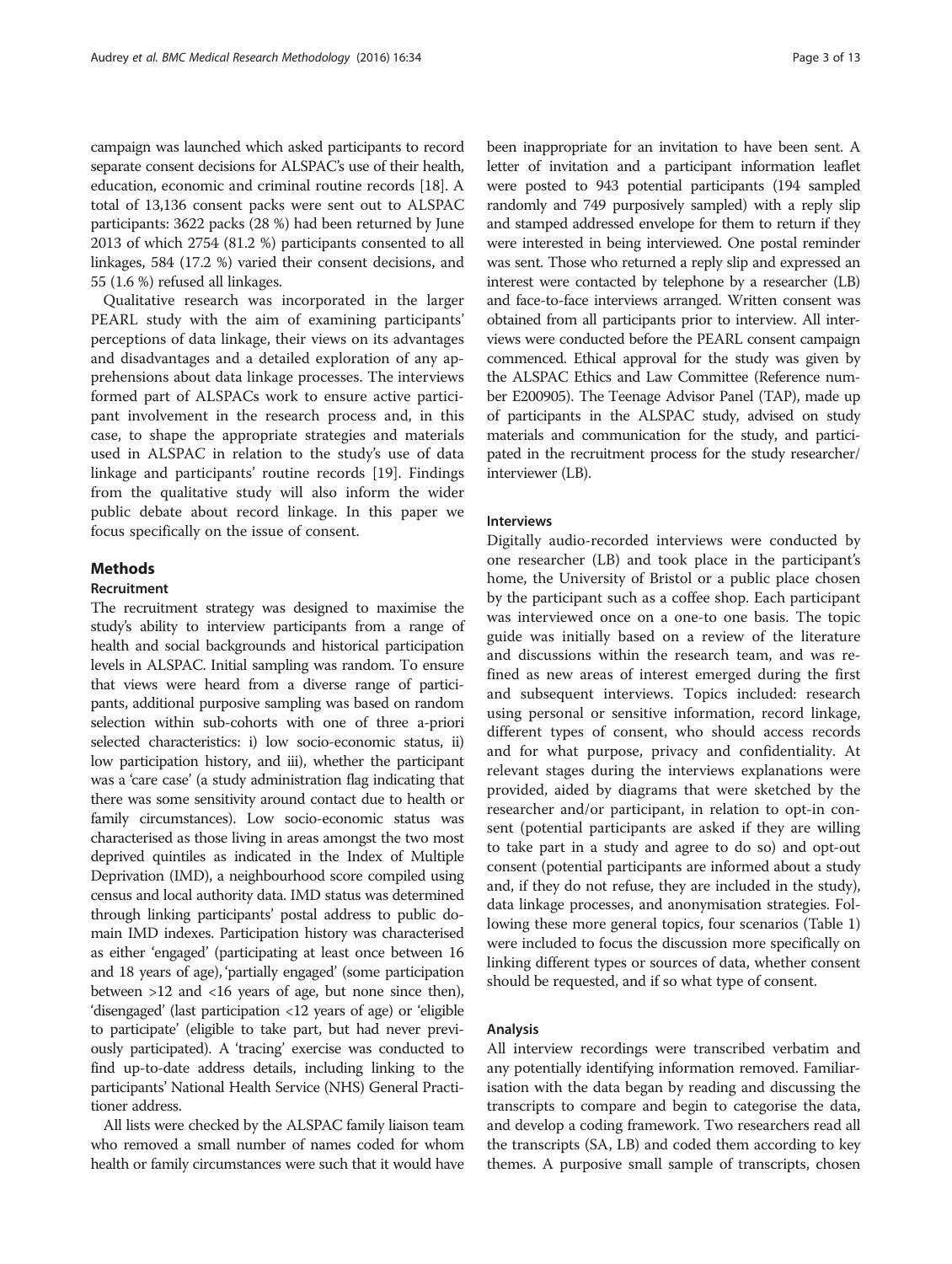campaign was launched which asked participants to record separate consent decisions for ALSPAC's use of their health, education, economic and criminal routine records [[18](#page-12-0)]. A total of 13,136 consent packs were sent out to ALSPAC participants: 3622 packs (28 %) had been returned by June 2013 of which 2754 (81.2 %) participants consented to all linkages, 584 (17.2 %) varied their consent decisions, and 55 (1.6 %) refused all linkages.

Qualitative research was incorporated in the larger PEARL study with the aim of examining participants' perceptions of data linkage, their views on its advantages and disadvantages and a detailed exploration of any apprehensions about data linkage processes. The interviews formed part of ALSPACs work to ensure active participant involvement in the research process and, in this case, to shape the appropriate strategies and materials used in ALSPAC in relation to the study's use of data linkage and participants' routine records [\[19\]](#page-12-0). Findings from the qualitative study will also inform the wider public debate about record linkage. In this paper we focus specifically on the issue of consent.

# Methods

## Recruitment

The recruitment strategy was designed to maximise the study's ability to interview participants from a range of health and social backgrounds and historical participation levels in ALSPAC. Initial sampling was random. To ensure that views were heard from a diverse range of participants, additional purposive sampling was based on random selection within sub-cohorts with one of three a-priori selected characteristics: i) low socio-economic status, ii) low participation history, and iii), whether the participant was a 'care case' (a study administration flag indicating that there was some sensitivity around contact due to health or family circumstances). Low socio-economic status was characterised as those living in areas amongst the two most deprived quintiles as indicated in the Index of Multiple Deprivation (IMD), a neighbourhood score compiled using census and local authority data. IMD status was determined through linking participants' postal address to public domain IMD indexes. Participation history was characterised as either 'engaged' (participating at least once between 16 and 18 years of age), 'partially engaged' (some participation between >12 and <16 years of age, but none since then), 'disengaged' (last participation <12 years of age) or 'eligible to participate' (eligible to take part, but had never previously participated). A 'tracing' exercise was conducted to find up-to-date address details, including linking to the participants' National Health Service (NHS) General Practitioner address.

All lists were checked by the ALSPAC family liaison team who removed a small number of names coded for whom health or family circumstances were such that it would have

been inappropriate for an invitation to have been sent. A letter of invitation and a participant information leaflet were posted to 943 potential participants (194 sampled randomly and 749 purposively sampled) with a reply slip and stamped addressed envelope for them to return if they were interested in being interviewed. One postal reminder was sent. Those who returned a reply slip and expressed an interest were contacted by telephone by a researcher (LB) and face-to-face interviews arranged. Written consent was obtained from all participants prior to interview. All interviews were conducted before the PEARL consent campaign commenced. Ethical approval for the study was given by the ALSPAC Ethics and Law Committee (Reference number E200905). The Teenage Advisor Panel (TAP), made up of participants in the ALSPAC study, advised on study materials and communication for the study, and participated in the recruitment process for the study researcher/ interviewer (LB).

#### **Interviews**

Digitally audio-recorded interviews were conducted by one researcher (LB) and took place in the participant's home, the University of Bristol or a public place chosen by the participant such as a coffee shop. Each participant was interviewed once on a one-to one basis. The topic guide was initially based on a review of the literature and discussions within the research team, and was refined as new areas of interest emerged during the first and subsequent interviews. Topics included: research using personal or sensitive information, record linkage, different types of consent, who should access records and for what purpose, privacy and confidentiality. At relevant stages during the interviews explanations were provided, aided by diagrams that were sketched by the researcher and/or participant, in relation to opt-in consent (potential participants are asked if they are willing to take part in a study and agree to do so) and opt-out consent (potential participants are informed about a study and, if they do not refuse, they are included in the study), data linkage processes, and anonymisation strategies. Following these more general topics, four scenarios (Table [1](#page-3-0)) were included to focus the discussion more specifically on linking different types or sources of data, whether consent should be requested, and if so what type of consent.

#### Analysis

All interview recordings were transcribed verbatim and any potentially identifying information removed. Familiarisation with the data began by reading and discussing the transcripts to compare and begin to categorise the data, and develop a coding framework. Two researchers read all the transcripts (SA, LB) and coded them according to key themes. A purposive small sample of transcripts, chosen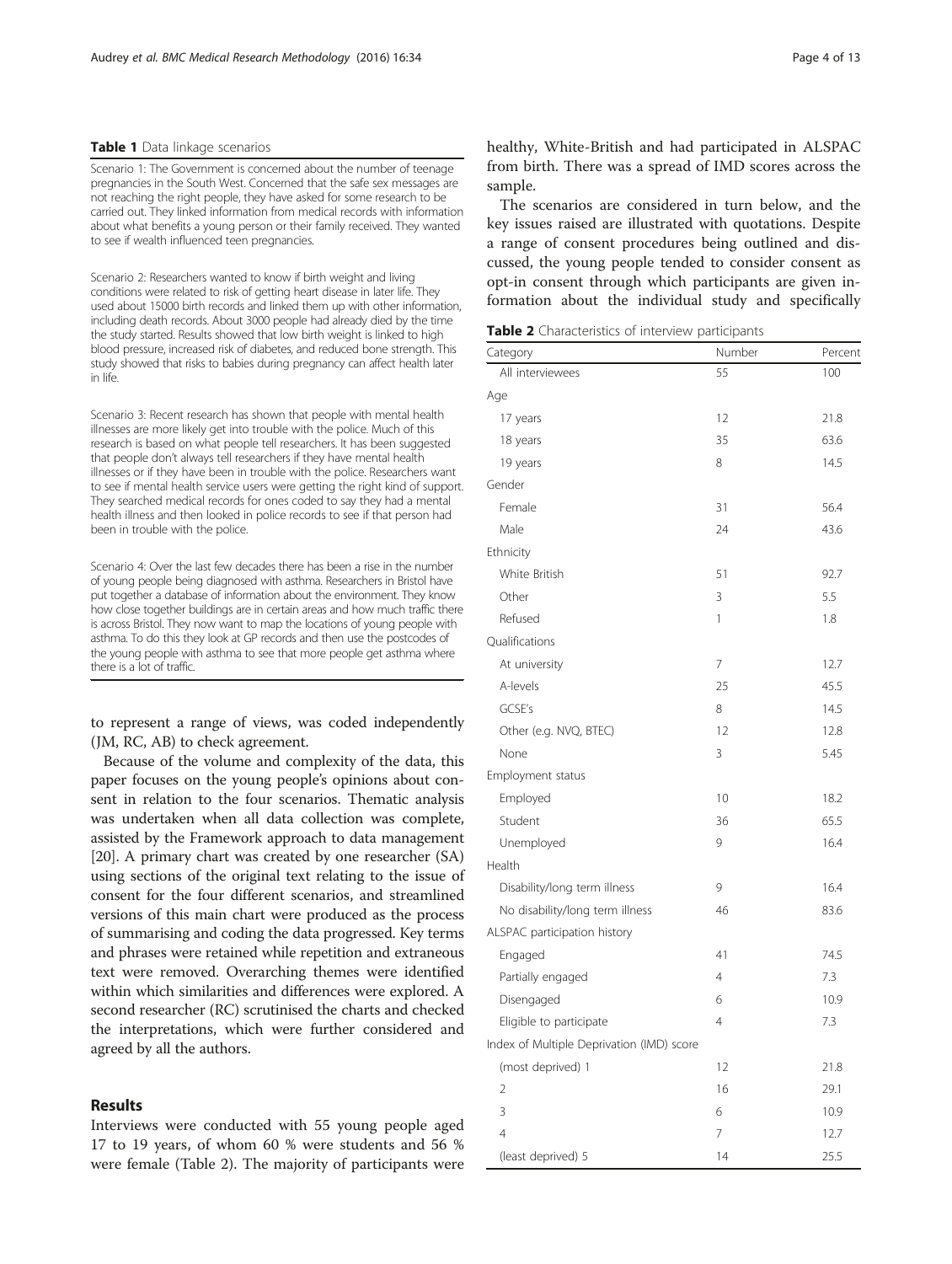#### <span id="page-3-0"></span>Table 1 Data linkage scenarios

Scenario 1: The Government is concerned about the number of teenage pregnancies in the South West. Concerned that the safe sex messages are not reaching the right people, they have asked for some research to be carried out. They linked information from medical records with information about what benefits a young person or their family received. They wanted to see if wealth influenced teen pregnancies.

Scenario 2: Researchers wanted to know if birth weight and living conditions were related to risk of getting heart disease in later life. They used about 15000 birth records and linked them up with other information, including death records. About 3000 people had already died by the time the study started. Results showed that low birth weight is linked to high blood pressure, increased risk of diabetes, and reduced bone strength. This study showed that risks to babies during pregnancy can affect health later in life.

Scenario 3: Recent research has shown that people with mental health illnesses are more likely get into trouble with the police. Much of this research is based on what people tell researchers. It has been suggested that people don't always tell researchers if they have mental health illnesses or if they have been in trouble with the police. Researchers want to see if mental health service users were getting the right kind of support. They searched medical records for ones coded to say they had a mental health illness and then looked in police records to see if that person had been in trouble with the police.

Scenario 4: Over the last few decades there has been a rise in the number of young people being diagnosed with asthma. Researchers in Bristol have put together a database of information about the environment. They know how close together buildings are in certain areas and how much traffic there is across Bristol. They now want to map the locations of young people with asthma. To do this they look at GP records and then use the postcodes of the young people with asthma to see that more people get asthma where there is a lot of traffic.

to represent a range of views, was coded independently (JM, RC, AB) to check agreement.

Because of the volume and complexity of the data, this paper focuses on the young people's opinions about consent in relation to the four scenarios. Thematic analysis was undertaken when all data collection was complete, assisted by the Framework approach to data management [[20](#page-12-0)]. A primary chart was created by one researcher (SA) using sections of the original text relating to the issue of consent for the four different scenarios, and streamlined versions of this main chart were produced as the process of summarising and coding the data progressed. Key terms and phrases were retained while repetition and extraneous text were removed. Overarching themes were identified within which similarities and differences were explored. A second researcher (RC) scrutinised the charts and checked the interpretations, which were further considered and agreed by all the authors.

# Results

Interviews were conducted with 55 young people aged 17 to 19 years, of whom 60 % were students and 56 % were female (Table 2). The majority of participants were healthy, White-British and had participated in ALSPAC from birth. There was a spread of IMD scores across the sample.

The scenarios are considered in turn below, and the key issues raised are illustrated with quotations. Despite a range of consent procedures being outlined and discussed, the young people tended to consider consent as opt-in consent through which participants are given information about the individual study and specifically

Table 2 Characteristics of interview participants

| Category                                  | Number         | Percent |
|-------------------------------------------|----------------|---------|
| All interviewees                          | 55             | 100     |
| Age                                       |                |         |
| 17 years                                  | 12             | 21.8    |
| 18 years                                  | 35             | 63.6    |
| 19 years                                  | 8              | 14.5    |
| Gender                                    |                |         |
| Female                                    | 31             | 56.4    |
| Male                                      | 24             | 43.6    |
| Ethnicity                                 |                |         |
| White British                             | 51             | 92.7    |
| Other                                     | 3              | 5.5     |
| Refused                                   | 1              | 1.8     |
| Qualifications                            |                |         |
| At university                             | $\overline{7}$ | 12.7    |
| A-levels                                  | 25             | 45.5    |
| GCSE's                                    | 8              | 14.5    |
| Other (e.g. NVQ, BTEC)                    | 12             | 12.8    |
| None                                      | 3              | 5.45    |
| Employment status                         |                |         |
| Employed                                  | 10             | 18.2    |
| Student                                   | 36             | 65.5    |
| Unemployed                                | 9              | 16.4    |
| Health                                    |                |         |
| Disability/long term illness              | 9              | 16.4    |
| No disability/long term illness           | 46             | 83.6    |
| ALSPAC participation history              |                |         |
| Engaged                                   | 41             | 74.5    |
| Partially engaged                         | 4              | 7.3     |
| Disengaged                                | 6              | 10.9    |
| Eligible to participate                   | $\overline{4}$ | 7.3     |
| Index of Multiple Deprivation (IMD) score |                |         |
| (most deprived) 1                         | 12             | 21.8    |
| $\overline{2}$                            | 16             | 29.1    |
| 3                                         | 6              | 10.9    |
| $\overline{4}$                            | 7              | 12.7    |
| (least deprived) 5                        | 14             | 25.5    |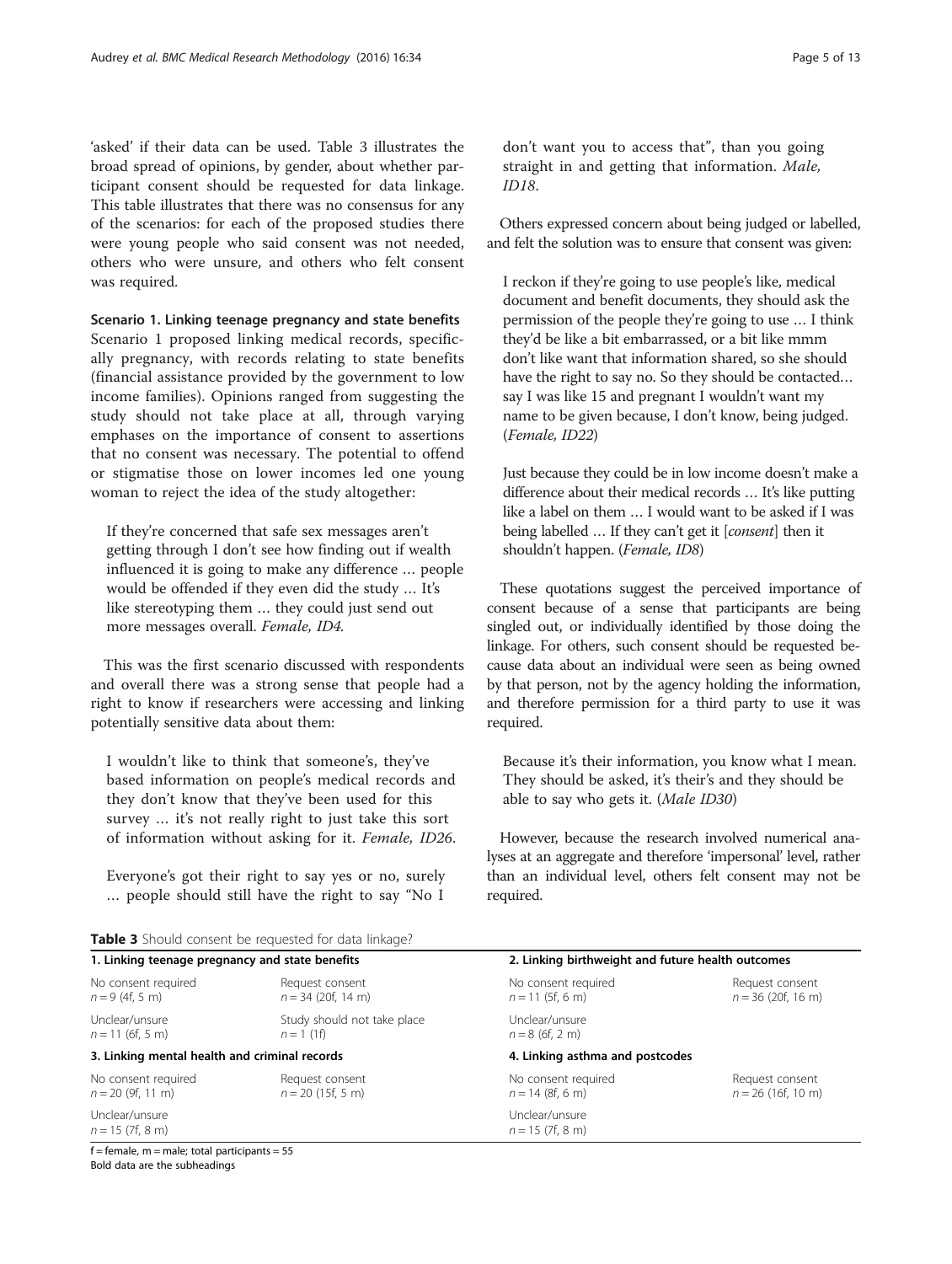'asked' if their data can be used. Table 3 illustrates the broad spread of opinions, by gender, about whether participant consent should be requested for data linkage. This table illustrates that there was no consensus for any of the scenarios: for each of the proposed studies there were young people who said consent was not needed, others who were unsure, and others who felt consent was required.

Scenario 1. Linking teenage pregnancy and state benefits Scenario 1 proposed linking medical records, specifically pregnancy, with records relating to state benefits (financial assistance provided by the government to low income families). Opinions ranged from suggesting the study should not take place at all, through varying emphases on the importance of consent to assertions that no consent was necessary. The potential to offend or stigmatise those on lower incomes led one young woman to reject the idea of the study altogether:

If they're concerned that safe sex messages aren't getting through I don't see how finding out if wealth influenced it is going to make any difference … people would be offended if they even did the study … It's like stereotyping them … they could just send out more messages overall. Female, ID4.

This was the first scenario discussed with respondents and overall there was a strong sense that people had a right to know if researchers were accessing and linking potentially sensitive data about them:

I wouldn't like to think that someone's, they've based information on people's medical records and they don't know that they've been used for this survey ... it's not really right to just take this sort of information without asking for it. Female, ID26.

Everyone's got their right to say yes or no, surely … people should still have the right to say "No I

don't want you to access that", than you going straight in and getting that information. Male, ID18.

Others expressed concern about being judged or labelled, and felt the solution was to ensure that consent was given:

I reckon if they're going to use people's like, medical document and benefit documents, they should ask the permission of the people they're going to use … I think they'd be like a bit embarrassed, or a bit like mmm don't like want that information shared, so she should have the right to say no. So they should be contacted… say I was like 15 and pregnant I wouldn't want my name to be given because, I don't know, being judged. (Female, ID22)

Just because they could be in low income doesn't make a difference about their medical records … It's like putting like a label on them … I would want to be asked if I was being labelled ... If they can't get it [consent] then it shouldn't happen. (Female, ID8)

These quotations suggest the perceived importance of consent because of a sense that participants are being singled out, or individually identified by those doing the linkage. For others, such consent should be requested because data about an individual were seen as being owned by that person, not by the agency holding the information, and therefore permission for a third party to use it was required.

Because it's their information, you know what I mean. They should be asked, it's their's and they should be able to say who gets it. (Male ID30)

However, because the research involved numerical analyses at an aggregate and therefore 'impersonal' level, rather than an individual level, others felt consent may not be required.

|                                                 | <b>Table 3</b> Should consent be requested for data linkage? |                                                   |                                         |
|-------------------------------------------------|--------------------------------------------------------------|---------------------------------------------------|-----------------------------------------|
| 1. Linking teenage pregnancy and state benefits |                                                              | 2. Linking birthweight and future health outcomes |                                         |
| No consent required<br>$n = 9$ (4f, 5 m)        | Request consent<br>$n = 34$ (20f, 14 m)                      | No consent required<br>$n = 11$ (5f, 6 m)         | Request consent<br>$n = 36$ (20f, 16 m) |
| Unclear/unsure<br>$n = 11$ (6f, 5 m)            | Study should not take place<br>$n = 1$ (1f)                  | Unclear/unsure<br>$n = 8$ (6f, 2 m)               |                                         |
| 3. Linking mental health and criminal records   |                                                              | 4. Linking asthma and postcodes                   |                                         |
| No consent required<br>$n = 20$ (9f, 11 m)      | Request consent<br>$n = 20$ (15f, 5 m)                       | No consent required<br>$n = 14$ (8f, 6 m)         | Request consent<br>$n = 26$ (16f, 10 m) |
| Unclear/unsure<br>$n = 15$ (7f, 8 m)            |                                                              | Unclear/unsure<br>$n = 15$ (7f, 8 m)              |                                         |

 $f =$  female,  $m =$  male; total participants = 55 Bold data are the subheadings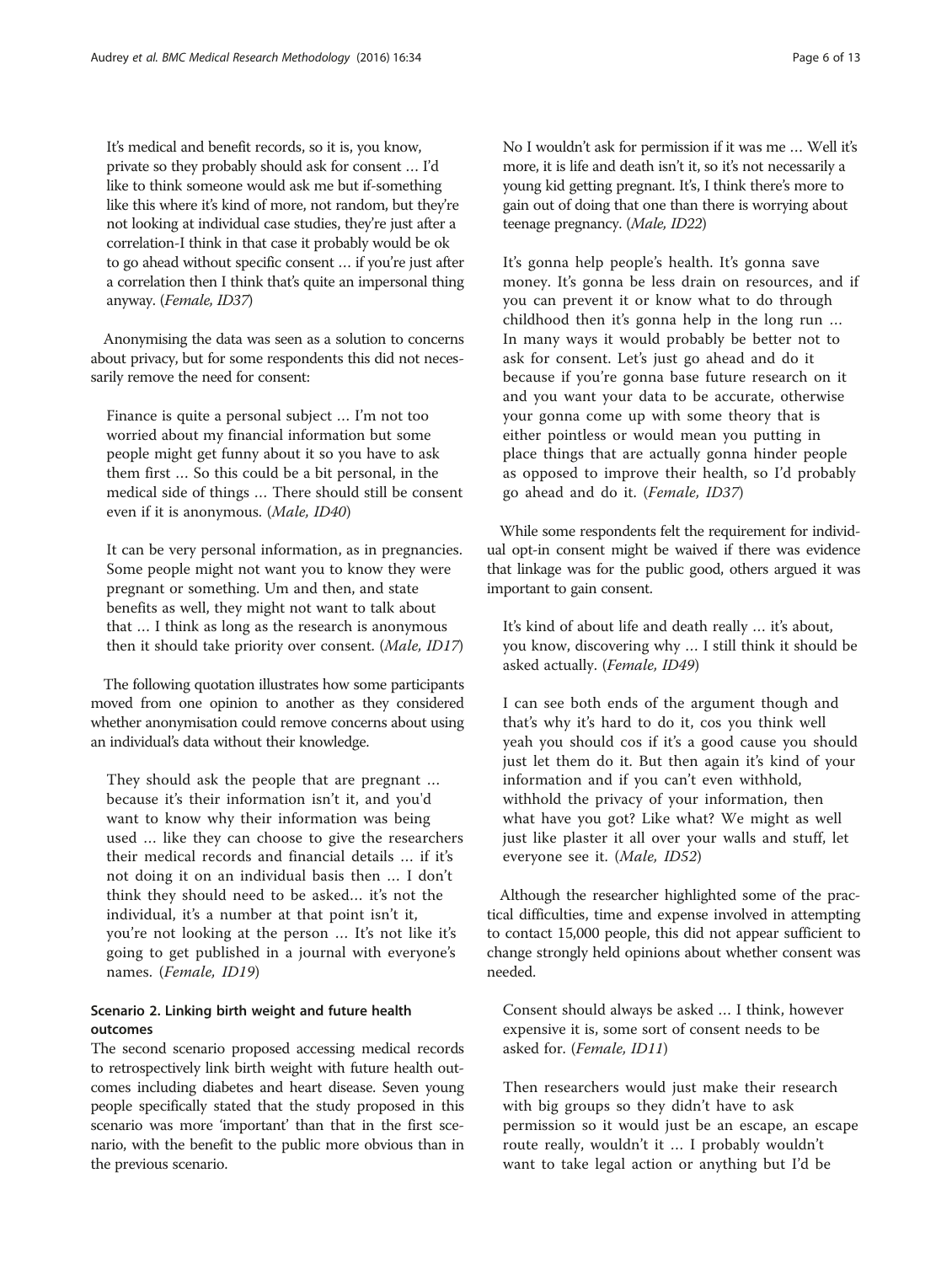It's medical and benefit records, so it is, you know, private so they probably should ask for consent … I'd like to think someone would ask me but if-something like this where it's kind of more, not random, but they're not looking at individual case studies, they're just after a correlation-I think in that case it probably would be ok to go ahead without specific consent … if you're just after a correlation then I think that's quite an impersonal thing anyway. (Female, ID37)

Anonymising the data was seen as a solution to concerns about privacy, but for some respondents this did not necessarily remove the need for consent:

Finance is quite a personal subject … I'm not too worried about my financial information but some people might get funny about it so you have to ask them first … So this could be a bit personal, in the medical side of things … There should still be consent even if it is anonymous. (Male, ID40)

It can be very personal information, as in pregnancies. Some people might not want you to know they were pregnant or something. Um and then, and state benefits as well, they might not want to talk about that … I think as long as the research is anonymous then it should take priority over consent. (Male, ID17)

The following quotation illustrates how some participants moved from one opinion to another as they considered whether anonymisation could remove concerns about using an individual's data without their knowledge.

They should ask the people that are pregnant … because it's their information isn't it, and you'd want to know why their information was being used … like they can choose to give the researchers their medical records and financial details … if it's not doing it on an individual basis then … I don't think they should need to be asked… it's not the individual, it's a number at that point isn't it, you're not looking at the person … It's not like it's going to get published in a journal with everyone's names. (Female, ID19)

# Scenario 2. Linking birth weight and future health outcomes

The second scenario proposed accessing medical records to retrospectively link birth weight with future health outcomes including diabetes and heart disease. Seven young people specifically stated that the study proposed in this scenario was more 'important' than that in the first scenario, with the benefit to the public more obvious than in the previous scenario.

No I wouldn't ask for permission if it was me … Well it's more, it is life and death isn't it, so it's not necessarily a young kid getting pregnant. It's, I think there's more to gain out of doing that one than there is worrying about teenage pregnancy. (Male, ID22)

It's gonna help people's health. It's gonna save money. It's gonna be less drain on resources, and if you can prevent it or know what to do through childhood then it's gonna help in the long run … In many ways it would probably be better not to ask for consent. Let's just go ahead and do it because if you're gonna base future research on it and you want your data to be accurate, otherwise your gonna come up with some theory that is either pointless or would mean you putting in place things that are actually gonna hinder people as opposed to improve their health, so I'd probably go ahead and do it. (Female, ID37)

While some respondents felt the requirement for individual opt-in consent might be waived if there was evidence that linkage was for the public good, others argued it was important to gain consent.

It's kind of about life and death really … it's about, you know, discovering why … I still think it should be asked actually. (Female, ID49)

I can see both ends of the argument though and that's why it's hard to do it, cos you think well yeah you should cos if it's a good cause you should just let them do it. But then again it's kind of your information and if you can't even withhold, withhold the privacy of your information, then what have you got? Like what? We might as well just like plaster it all over your walls and stuff, let everyone see it. (Male, ID52)

Although the researcher highlighted some of the practical difficulties, time and expense involved in attempting to contact 15,000 people, this did not appear sufficient to change strongly held opinions about whether consent was needed.

Consent should always be asked … I think, however expensive it is, some sort of consent needs to be asked for. (Female, ID11)

Then researchers would just make their research with big groups so they didn't have to ask permission so it would just be an escape, an escape route really, wouldn't it … I probably wouldn't want to take legal action or anything but I'd be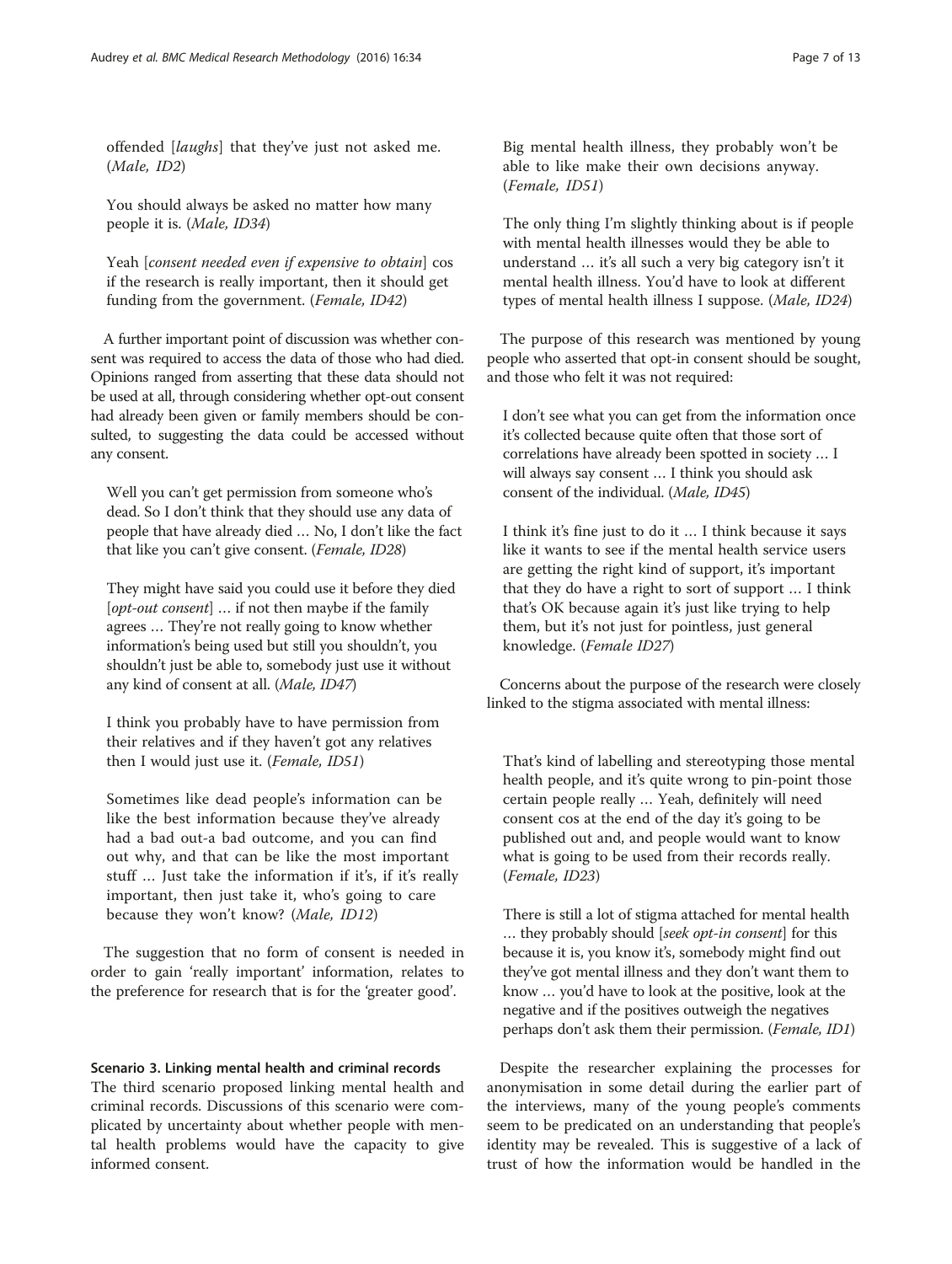offended [laughs] that they've just not asked me. (Male, ID2)

You should always be asked no matter how many people it is. (Male, ID34)

Yeah [consent needed even if expensive to obtain] cos if the research is really important, then it should get funding from the government. (Female, ID42)

A further important point of discussion was whether consent was required to access the data of those who had died. Opinions ranged from asserting that these data should not be used at all, through considering whether opt-out consent had already been given or family members should be consulted, to suggesting the data could be accessed without any consent.

Well you can't get permission from someone who's dead. So I don't think that they should use any data of people that have already died … No, I don't like the fact that like you can't give consent. (Female, ID28)

They might have said you could use it before they died [*opt-out consent*] ... if not then maybe if the family agrees … They're not really going to know whether information's being used but still you shouldn't, you shouldn't just be able to, somebody just use it without any kind of consent at all. (Male, ID47)

I think you probably have to have permission from their relatives and if they haven't got any relatives then I would just use it. (Female, ID51)

Sometimes like dead people's information can be like the best information because they've already had a bad out-a bad outcome, and you can find out why, and that can be like the most important stuff … Just take the information if it's, if it's really important, then just take it, who's going to care because they won't know? (Male, ID12)

The suggestion that no form of consent is needed in order to gain 'really important' information, relates to the preference for research that is for the 'greater good'.

# Scenario 3. Linking mental health and criminal records

The third scenario proposed linking mental health and criminal records. Discussions of this scenario were complicated by uncertainty about whether people with mental health problems would have the capacity to give informed consent.

Big mental health illness, they probably won't be able to like make their own decisions anyway. (Female, ID51)

The only thing I'm slightly thinking about is if people with mental health illnesses would they be able to understand … it's all such a very big category isn't it mental health illness. You'd have to look at different types of mental health illness I suppose. (Male, ID24)

The purpose of this research was mentioned by young people who asserted that opt-in consent should be sought, and those who felt it was not required:

I don't see what you can get from the information once it's collected because quite often that those sort of correlations have already been spotted in society … I will always say consent … I think you should ask consent of the individual. (Male, ID45)

I think it's fine just to do it … I think because it says like it wants to see if the mental health service users are getting the right kind of support, it's important that they do have a right to sort of support … I think that's OK because again it's just like trying to help them, but it's not just for pointless, just general knowledge. (Female ID27)

Concerns about the purpose of the research were closely linked to the stigma associated with mental illness:

That's kind of labelling and stereotyping those mental health people, and it's quite wrong to pin-point those certain people really … Yeah, definitely will need consent cos at the end of the day it's going to be published out and, and people would want to know what is going to be used from their records really. (Female, ID23)

There is still a lot of stigma attached for mental health ... they probably should [seek opt-in consent] for this because it is, you know it's, somebody might find out they've got mental illness and they don't want them to know … you'd have to look at the positive, look at the negative and if the positives outweigh the negatives perhaps don't ask them their permission. (Female, ID1)

Despite the researcher explaining the processes for anonymisation in some detail during the earlier part of the interviews, many of the young people's comments seem to be predicated on an understanding that people's identity may be revealed. This is suggestive of a lack of trust of how the information would be handled in the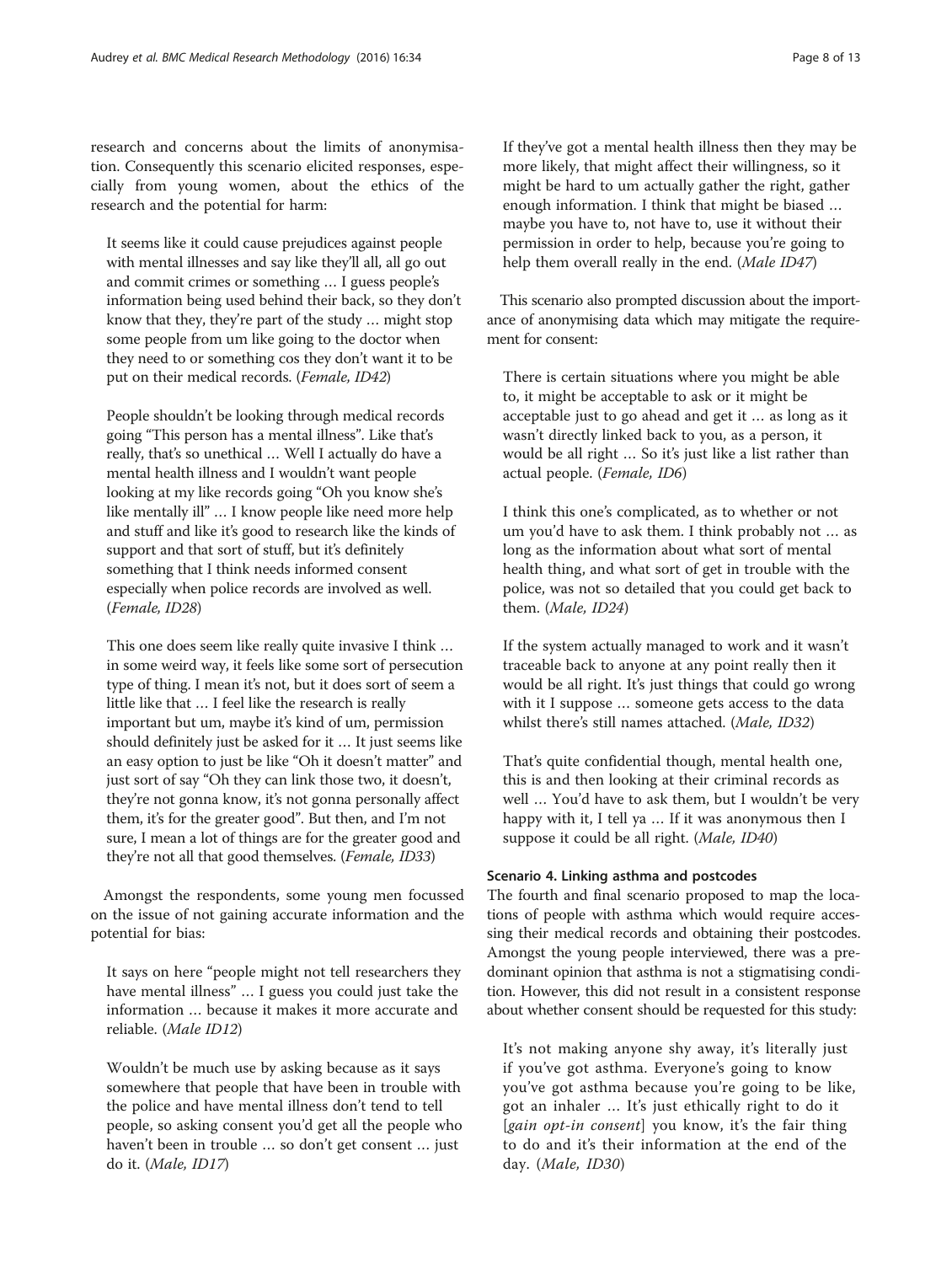research and concerns about the limits of anonymisation. Consequently this scenario elicited responses, especially from young women, about the ethics of the research and the potential for harm:

It seems like it could cause prejudices against people with mental illnesses and say like they'll all, all go out and commit crimes or something … I guess people's information being used behind their back, so they don't know that they, they're part of the study … might stop some people from um like going to the doctor when they need to or something cos they don't want it to be put on their medical records. (Female, ID42)

People shouldn't be looking through medical records going "This person has a mental illness". Like that's really, that's so unethical … Well I actually do have a mental health illness and I wouldn't want people looking at my like records going "Oh you know she's like mentally ill" … I know people like need more help and stuff and like it's good to research like the kinds of support and that sort of stuff, but it's definitely something that I think needs informed consent especially when police records are involved as well. (Female, ID28)

This one does seem like really quite invasive I think … in some weird way, it feels like some sort of persecution type of thing. I mean it's not, but it does sort of seem a little like that … I feel like the research is really important but um, maybe it's kind of um, permission should definitely just be asked for it … It just seems like an easy option to just be like "Oh it doesn't matter" and just sort of say "Oh they can link those two, it doesn't, they're not gonna know, it's not gonna personally affect them, it's for the greater good". But then, and I'm not sure, I mean a lot of things are for the greater good and they're not all that good themselves. (Female, ID33)

Amongst the respondents, some young men focussed on the issue of not gaining accurate information and the potential for bias:

It says on here "people might not tell researchers they have mental illness" … I guess you could just take the information … because it makes it more accurate and reliable. (Male ID12)

Wouldn't be much use by asking because as it says somewhere that people that have been in trouble with the police and have mental illness don't tend to tell people, so asking consent you'd get all the people who haven't been in trouble … so don't get consent … just do it. (Male, ID17)

If they've got a mental health illness then they may be more likely, that might affect their willingness, so it might be hard to um actually gather the right, gather enough information. I think that might be biased … maybe you have to, not have to, use it without their permission in order to help, because you're going to help them overall really in the end. (Male ID47)

This scenario also prompted discussion about the importance of anonymising data which may mitigate the requirement for consent:

There is certain situations where you might be able to, it might be acceptable to ask or it might be acceptable just to go ahead and get it … as long as it wasn't directly linked back to you, as a person, it would be all right … So it's just like a list rather than actual people. (Female, ID6)

I think this one's complicated, as to whether or not um you'd have to ask them. I think probably not … as long as the information about what sort of mental health thing, and what sort of get in trouble with the police, was not so detailed that you could get back to them. (Male, ID24)

If the system actually managed to work and it wasn't traceable back to anyone at any point really then it would be all right. It's just things that could go wrong with it I suppose … someone gets access to the data whilst there's still names attached. (Male, ID32)

That's quite confidential though, mental health one, this is and then looking at their criminal records as well … You'd have to ask them, but I wouldn't be very happy with it, I tell ya … If it was anonymous then I suppose it could be all right. (Male, ID40)

# Scenario 4. Linking asthma and postcodes

The fourth and final scenario proposed to map the locations of people with asthma which would require accessing their medical records and obtaining their postcodes. Amongst the young people interviewed, there was a predominant opinion that asthma is not a stigmatising condition. However, this did not result in a consistent response about whether consent should be requested for this study:

It's not making anyone shy away, it's literally just if you've got asthma. Everyone's going to know you've got asthma because you're going to be like, got an inhaler … It's just ethically right to do it [gain opt-in consent] you know, it's the fair thing to do and it's their information at the end of the day. (Male, ID30)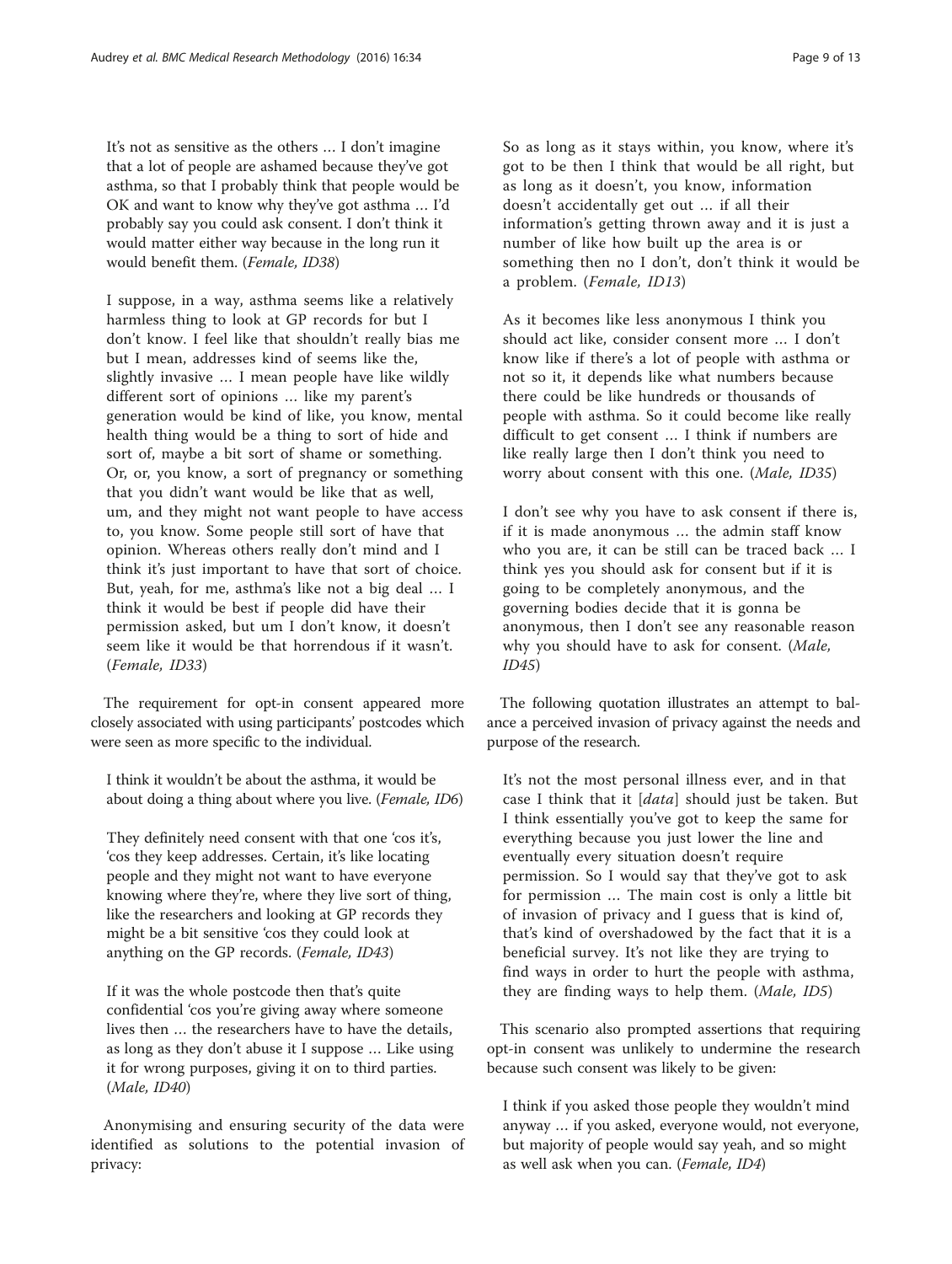It's not as sensitive as the others … I don't imagine that a lot of people are ashamed because they've got asthma, so that I probably think that people would be OK and want to know why they've got asthma … I'd probably say you could ask consent. I don't think it would matter either way because in the long run it would benefit them. (Female, ID38)

I suppose, in a way, asthma seems like a relatively harmless thing to look at GP records for but I don't know. I feel like that shouldn't really bias me but I mean, addresses kind of seems like the, slightly invasive … I mean people have like wildly different sort of opinions … like my parent's generation would be kind of like, you know, mental health thing would be a thing to sort of hide and sort of, maybe a bit sort of shame or something. Or, or, you know, a sort of pregnancy or something that you didn't want would be like that as well, um, and they might not want people to have access to, you know. Some people still sort of have that opinion. Whereas others really don't mind and I think it's just important to have that sort of choice. But, yeah, for me, asthma's like not a big deal … I think it would be best if people did have their permission asked, but um I don't know, it doesn't seem like it would be that horrendous if it wasn't. (Female, ID33)

The requirement for opt-in consent appeared more closely associated with using participants' postcodes which were seen as more specific to the individual.

I think it wouldn't be about the asthma, it would be about doing a thing about where you live. (Female, ID6)

They definitely need consent with that one 'cos it's, 'cos they keep addresses. Certain, it's like locating people and they might not want to have everyone knowing where they're, where they live sort of thing, like the researchers and looking at GP records they might be a bit sensitive 'cos they could look at anything on the GP records. (Female, ID43)

If it was the whole postcode then that's quite confidential 'cos you're giving away where someone lives then … the researchers have to have the details, as long as they don't abuse it I suppose … Like using it for wrong purposes, giving it on to third parties. (Male, ID40)

Anonymising and ensuring security of the data were identified as solutions to the potential invasion of privacy:

So as long as it stays within, you know, where it's got to be then I think that would be all right, but as long as it doesn't, you know, information doesn't accidentally get out … if all their information's getting thrown away and it is just a number of like how built up the area is or something then no I don't, don't think it would be a problem. (Female, ID13)

As it becomes like less anonymous I think you should act like, consider consent more … I don't know like if there's a lot of people with asthma or not so it, it depends like what numbers because there could be like hundreds or thousands of people with asthma. So it could become like really difficult to get consent … I think if numbers are like really large then I don't think you need to worry about consent with this one. (Male, ID35)

I don't see why you have to ask consent if there is, if it is made anonymous … the admin staff know who you are, it can be still can be traced back … I think yes you should ask for consent but if it is going to be completely anonymous, and the governing bodies decide that it is gonna be anonymous, then I don't see any reasonable reason why you should have to ask for consent. (Male, ID45)

The following quotation illustrates an attempt to balance a perceived invasion of privacy against the needs and purpose of the research.

It's not the most personal illness ever, and in that case I think that it [data] should just be taken. But I think essentially you've got to keep the same for everything because you just lower the line and eventually every situation doesn't require permission. So I would say that they've got to ask for permission … The main cost is only a little bit of invasion of privacy and I guess that is kind of, that's kind of overshadowed by the fact that it is a beneficial survey. It's not like they are trying to find ways in order to hurt the people with asthma, they are finding ways to help them. (Male, ID5)

This scenario also prompted assertions that requiring opt-in consent was unlikely to undermine the research because such consent was likely to be given:

I think if you asked those people they wouldn't mind anyway … if you asked, everyone would, not everyone, but majority of people would say yeah, and so might as well ask when you can. (Female, ID4)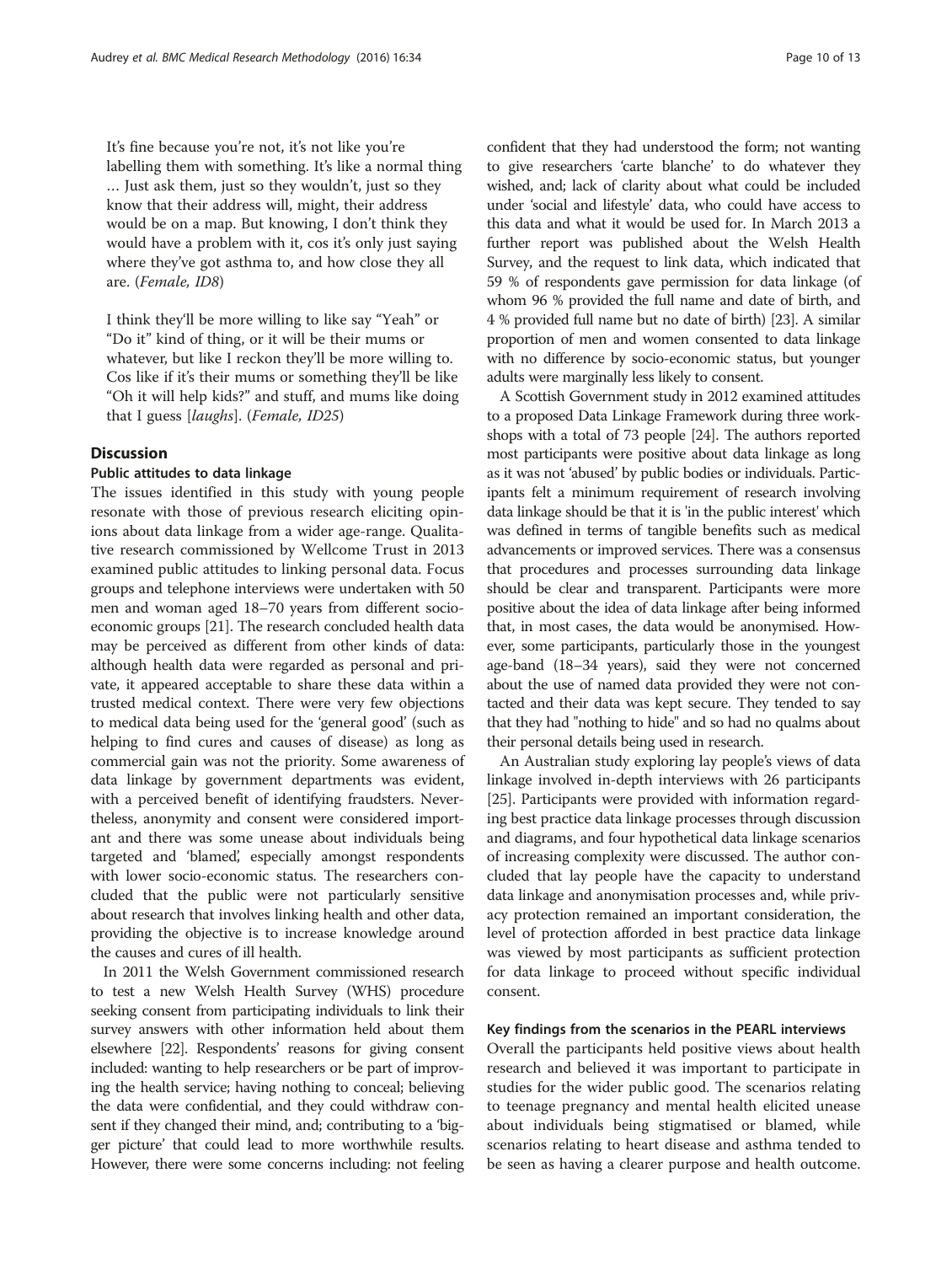It's fine because you're not, it's not like you're labelling them with something. It's like a normal thing … Just ask them, just so they wouldn't, just so they know that their address will, might, their address would be on a map. But knowing, I don't think they would have a problem with it, cos it's only just saying where they've got asthma to, and how close they all are. (Female, ID8)

I think they'll be more willing to like say "Yeah" or "Do it" kind of thing, or it will be their mums or whatever, but like I reckon they'll be more willing to. Cos like if it's their mums or something they'll be like "Oh it will help kids?" and stuff, and mums like doing that I guess [laughs]. (Female, ID25)

# **Discussion**

## Public attitudes to data linkage

The issues identified in this study with young people resonate with those of previous research eliciting opinions about data linkage from a wider age-range. Qualitative research commissioned by Wellcome Trust in 2013 examined public attitudes to linking personal data. Focus groups and telephone interviews were undertaken with 50 men and woman aged 18–70 years from different socioeconomic groups [\[21\]](#page-12-0). The research concluded health data may be perceived as different from other kinds of data: although health data were regarded as personal and private, it appeared acceptable to share these data within a trusted medical context. There were very few objections to medical data being used for the 'general good' (such as helping to find cures and causes of disease) as long as commercial gain was not the priority. Some awareness of data linkage by government departments was evident, with a perceived benefit of identifying fraudsters. Nevertheless, anonymity and consent were considered important and there was some unease about individuals being targeted and 'blamed', especially amongst respondents with lower socio-economic status. The researchers concluded that the public were not particularly sensitive about research that involves linking health and other data, providing the objective is to increase knowledge around the causes and cures of ill health.

In 2011 the Welsh Government commissioned research to test a new Welsh Health Survey (WHS) procedure seeking consent from participating individuals to link their survey answers with other information held about them elsewhere [\[22\]](#page-12-0). Respondents' reasons for giving consent included: wanting to help researchers or be part of improving the health service; having nothing to conceal; believing the data were confidential, and they could withdraw consent if they changed their mind, and; contributing to a 'bigger picture' that could lead to more worthwhile results. However, there were some concerns including: not feeling confident that they had understood the form; not wanting to give researchers 'carte blanche' to do whatever they wished, and; lack of clarity about what could be included under 'social and lifestyle' data, who could have access to this data and what it would be used for. In March 2013 a further report was published about the Welsh Health Survey, and the request to link data, which indicated that 59 % of respondents gave permission for data linkage (of whom 96 % provided the full name and date of birth, and 4 % provided full name but no date of birth) [\[23\]](#page-12-0). A similar proportion of men and women consented to data linkage with no difference by socio-economic status, but younger adults were marginally less likely to consent.

A Scottish Government study in 2012 examined attitudes to a proposed Data Linkage Framework during three workshops with a total of 73 people [\[24\]](#page-12-0). The authors reported most participants were positive about data linkage as long as it was not 'abused' by public bodies or individuals. Participants felt a minimum requirement of research involving data linkage should be that it is 'in the public interest' which was defined in terms of tangible benefits such as medical advancements or improved services. There was a consensus that procedures and processes surrounding data linkage should be clear and transparent. Participants were more positive about the idea of data linkage after being informed that, in most cases, the data would be anonymised. However, some participants, particularly those in the youngest age-band (18–34 years), said they were not concerned about the use of named data provided they were not contacted and their data was kept secure. They tended to say that they had "nothing to hide" and so had no qualms about their personal details being used in research.

An Australian study exploring lay people's views of data linkage involved in-depth interviews with 26 participants [[25](#page-12-0)]. Participants were provided with information regarding best practice data linkage processes through discussion and diagrams, and four hypothetical data linkage scenarios of increasing complexity were discussed. The author concluded that lay people have the capacity to understand data linkage and anonymisation processes and, while privacy protection remained an important consideration, the level of protection afforded in best practice data linkage was viewed by most participants as sufficient protection for data linkage to proceed without specific individual consent.

## Key findings from the scenarios in the PEARL interviews

Overall the participants held positive views about health research and believed it was important to participate in studies for the wider public good. The scenarios relating to teenage pregnancy and mental health elicited unease about individuals being stigmatised or blamed, while scenarios relating to heart disease and asthma tended to be seen as having a clearer purpose and health outcome.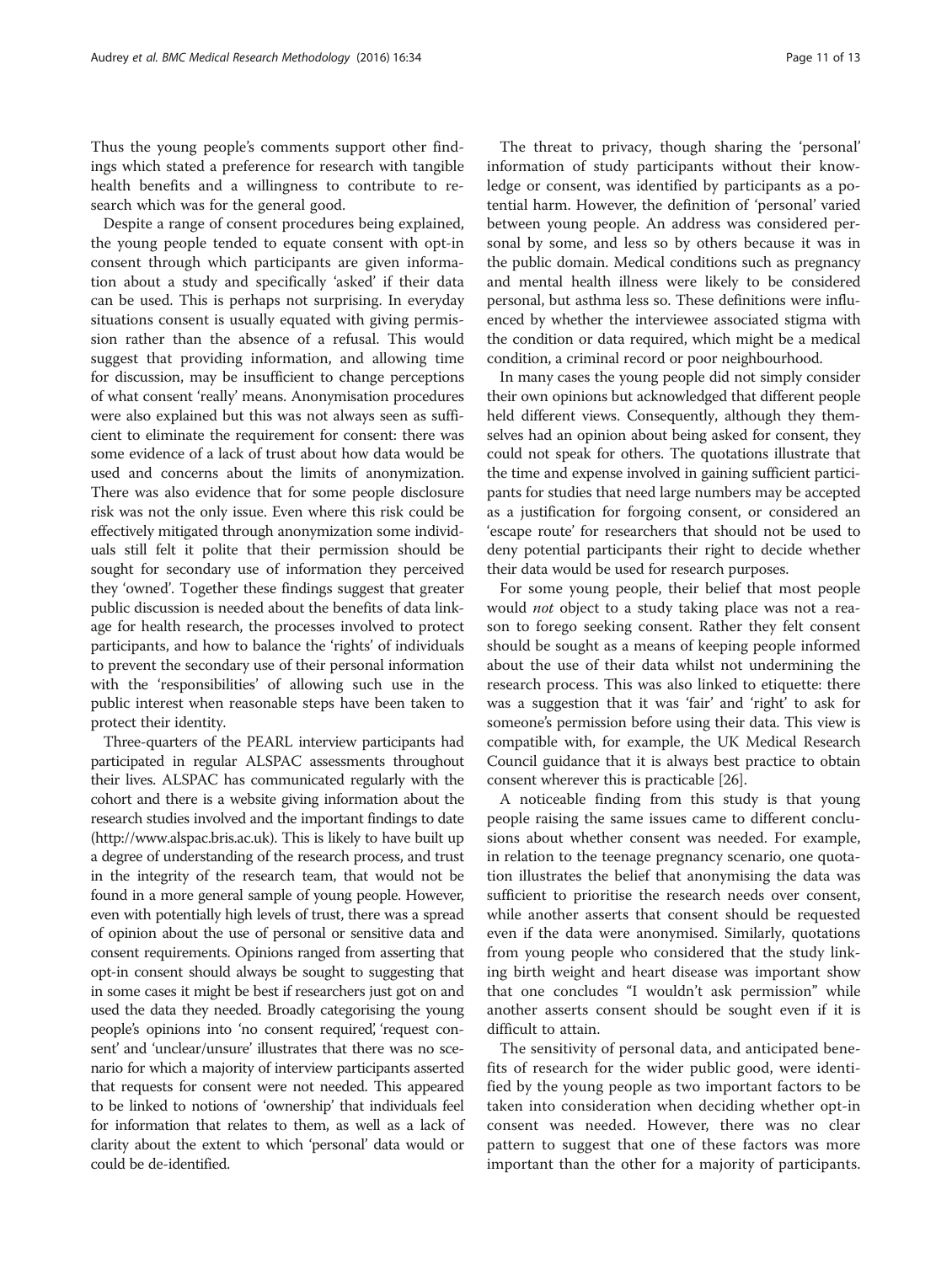Thus the young people's comments support other findings which stated a preference for research with tangible health benefits and a willingness to contribute to research which was for the general good.

Despite a range of consent procedures being explained, the young people tended to equate consent with opt-in consent through which participants are given information about a study and specifically 'asked' if their data can be used. This is perhaps not surprising. In everyday situations consent is usually equated with giving permission rather than the absence of a refusal. This would suggest that providing information, and allowing time for discussion, may be insufficient to change perceptions of what consent 'really' means. Anonymisation procedures were also explained but this was not always seen as sufficient to eliminate the requirement for consent: there was some evidence of a lack of trust about how data would be used and concerns about the limits of anonymization. There was also evidence that for some people disclosure risk was not the only issue. Even where this risk could be effectively mitigated through anonymization some individuals still felt it polite that their permission should be sought for secondary use of information they perceived they 'owned'. Together these findings suggest that greater public discussion is needed about the benefits of data linkage for health research, the processes involved to protect participants, and how to balance the 'rights' of individuals to prevent the secondary use of their personal information with the 'responsibilities' of allowing such use in the public interest when reasonable steps have been taken to protect their identity.

Three-quarters of the PEARL interview participants had participated in regular ALSPAC assessments throughout their lives. ALSPAC has communicated regularly with the cohort and there is a website giving information about the research studies involved and the important findings to date ([http://www.alspac.bris.ac.uk\)](http://www.alspac.bris.ac.uk/). This is likely to have built up a degree of understanding of the research process, and trust in the integrity of the research team, that would not be found in a more general sample of young people. However, even with potentially high levels of trust, there was a spread of opinion about the use of personal or sensitive data and consent requirements. Opinions ranged from asserting that opt-in consent should always be sought to suggesting that in some cases it might be best if researchers just got on and used the data they needed. Broadly categorising the young people's opinions into 'no consent required,' 'request consent' and 'unclear/unsure' illustrates that there was no scenario for which a majority of interview participants asserted that requests for consent were not needed. This appeared to be linked to notions of 'ownership' that individuals feel for information that relates to them, as well as a lack of clarity about the extent to which 'personal' data would or could be de-identified.

The threat to privacy, though sharing the 'personal' information of study participants without their knowledge or consent, was identified by participants as a potential harm. However, the definition of 'personal' varied between young people. An address was considered personal by some, and less so by others because it was in the public domain. Medical conditions such as pregnancy and mental health illness were likely to be considered personal, but asthma less so. These definitions were influenced by whether the interviewee associated stigma with the condition or data required, which might be a medical condition, a criminal record or poor neighbourhood.

In many cases the young people did not simply consider their own opinions but acknowledged that different people held different views. Consequently, although they themselves had an opinion about being asked for consent, they could not speak for others. The quotations illustrate that the time and expense involved in gaining sufficient participants for studies that need large numbers may be accepted as a justification for forgoing consent, or considered an 'escape route' for researchers that should not be used to deny potential participants their right to decide whether their data would be used for research purposes.

For some young people, their belief that most people would not object to a study taking place was not a reason to forego seeking consent. Rather they felt consent should be sought as a means of keeping people informed about the use of their data whilst not undermining the research process. This was also linked to etiquette: there was a suggestion that it was 'fair' and 'right' to ask for someone's permission before using their data. This view is compatible with, for example, the UK Medical Research Council guidance that it is always best practice to obtain consent wherever this is practicable [[26](#page-12-0)].

A noticeable finding from this study is that young people raising the same issues came to different conclusions about whether consent was needed. For example, in relation to the teenage pregnancy scenario, one quotation illustrates the belief that anonymising the data was sufficient to prioritise the research needs over consent, while another asserts that consent should be requested even if the data were anonymised. Similarly, quotations from young people who considered that the study linking birth weight and heart disease was important show that one concludes "I wouldn't ask permission" while another asserts consent should be sought even if it is difficult to attain.

The sensitivity of personal data, and anticipated benefits of research for the wider public good, were identified by the young people as two important factors to be taken into consideration when deciding whether opt-in consent was needed. However, there was no clear pattern to suggest that one of these factors was more important than the other for a majority of participants.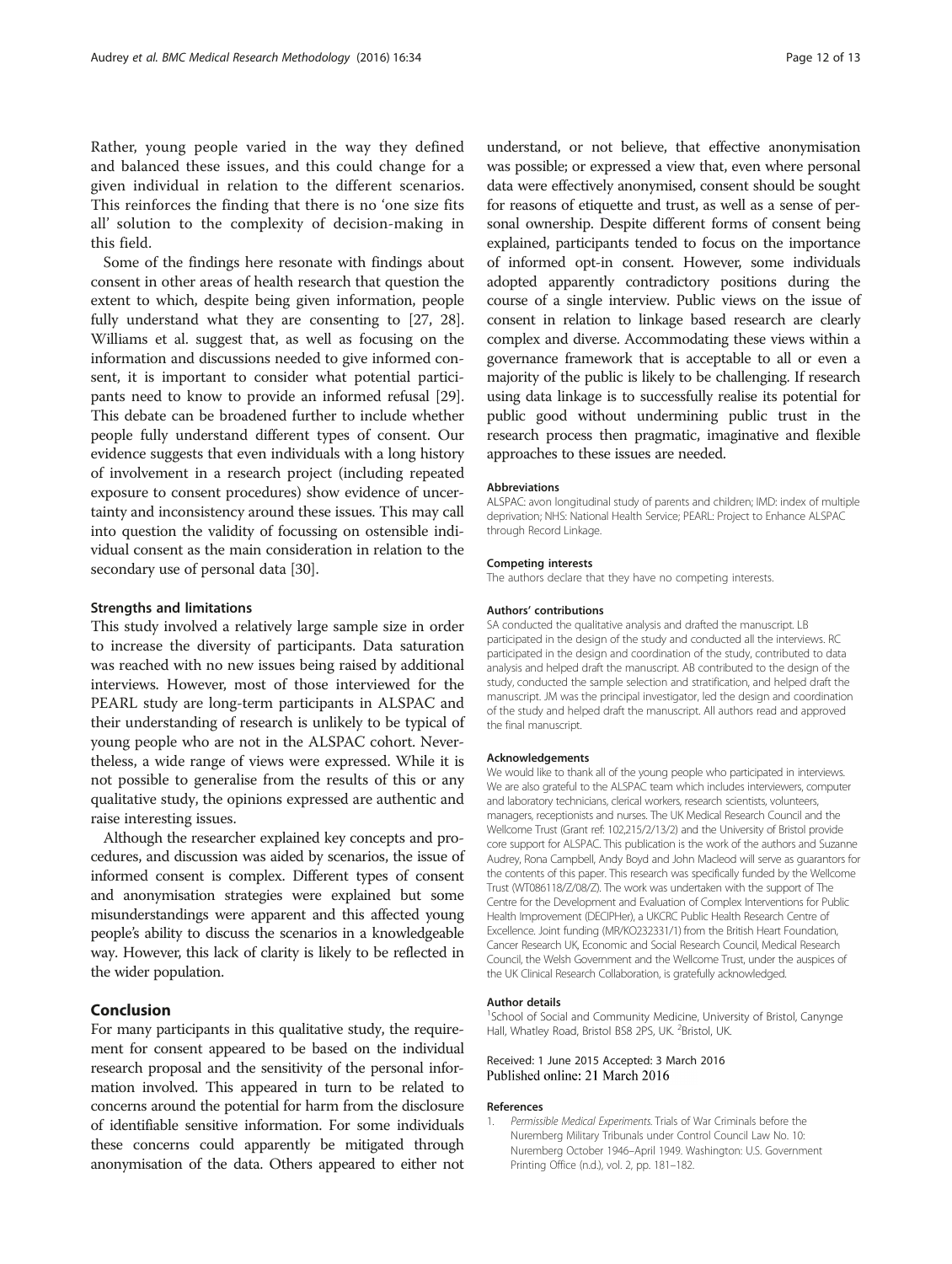<span id="page-11-0"></span>Rather, young people varied in the way they defined and balanced these issues, and this could change for a given individual in relation to the different scenarios. This reinforces the finding that there is no 'one size fits all' solution to the complexity of decision-making in this field.

Some of the findings here resonate with findings about consent in other areas of health research that question the extent to which, despite being given information, people fully understand what they are consenting to [[27](#page-12-0), [28](#page-12-0)]. Williams et al. suggest that, as well as focusing on the information and discussions needed to give informed consent, it is important to consider what potential participants need to know to provide an informed refusal [[29](#page-12-0)]. This debate can be broadened further to include whether people fully understand different types of consent. Our evidence suggests that even individuals with a long history of involvement in a research project (including repeated exposure to consent procedures) show evidence of uncertainty and inconsistency around these issues. This may call into question the validity of focussing on ostensible individual consent as the main consideration in relation to the secondary use of personal data [[30](#page-12-0)].

#### Strengths and limitations

This study involved a relatively large sample size in order to increase the diversity of participants. Data saturation was reached with no new issues being raised by additional interviews. However, most of those interviewed for the PEARL study are long-term participants in ALSPAC and their understanding of research is unlikely to be typical of young people who are not in the ALSPAC cohort. Nevertheless, a wide range of views were expressed. While it is not possible to generalise from the results of this or any qualitative study, the opinions expressed are authentic and raise interesting issues.

Although the researcher explained key concepts and procedures, and discussion was aided by scenarios, the issue of informed consent is complex. Different types of consent and anonymisation strategies were explained but some misunderstandings were apparent and this affected young people's ability to discuss the scenarios in a knowledgeable way. However, this lack of clarity is likely to be reflected in the wider population.

## Conclusion

For many participants in this qualitative study, the requirement for consent appeared to be based on the individual research proposal and the sensitivity of the personal information involved. This appeared in turn to be related to concerns around the potential for harm from the disclosure of identifiable sensitive information. For some individuals these concerns could apparently be mitigated through anonymisation of the data. Others appeared to either not understand, or not believe, that effective anonymisation was possible; or expressed a view that, even where personal data were effectively anonymised, consent should be sought for reasons of etiquette and trust, as well as a sense of personal ownership. Despite different forms of consent being explained, participants tended to focus on the importance of informed opt-in consent. However, some individuals adopted apparently contradictory positions during the course of a single interview. Public views on the issue of consent in relation to linkage based research are clearly complex and diverse. Accommodating these views within a governance framework that is acceptable to all or even a majority of the public is likely to be challenging. If research using data linkage is to successfully realise its potential for public good without undermining public trust in the research process then pragmatic, imaginative and flexible approaches to these issues are needed.

#### Abbreviations

ALSPAC: avon longitudinal study of parents and children; IMD: index of multiple deprivation; NHS: National Health Service; PEARL: Project to Enhance ALSPAC through Record Linkage.

#### Competing interests

The authors declare that they have no competing interests.

#### Authors' contributions

SA conducted the qualitative analysis and drafted the manuscript. LB participated in the design of the study and conducted all the interviews. RC participated in the design and coordination of the study, contributed to data analysis and helped draft the manuscript. AB contributed to the design of the study, conducted the sample selection and stratification, and helped draft the manuscript. JM was the principal investigator, led the design and coordination of the study and helped draft the manuscript. All authors read and approved the final manuscript.

#### Acknowledgements

We would like to thank all of the young people who participated in interviews. We are also grateful to the ALSPAC team which includes interviewers, computer and laboratory technicians, clerical workers, research scientists, volunteers, managers, receptionists and nurses. The UK Medical Research Council and the Wellcome Trust (Grant ref: 102,215/2/13/2) and the University of Bristol provide core support for ALSPAC. This publication is the work of the authors and Suzanne Audrey, Rona Campbell, Andy Boyd and John Macleod will serve as guarantors for the contents of this paper. This research was specifically funded by the Wellcome Trust (WT086118/Z/08/Z). The work was undertaken with the support of The Centre for the Development and Evaluation of Complex Interventions for Public Health Improvement (DECIPHer), a UKCRC Public Health Research Centre of Excellence. Joint funding (MR/KO232331/1) from the British Heart Foundation, Cancer Research UK, Economic and Social Research Council, Medical Research Council, the Welsh Government and the Wellcome Trust, under the auspices of the UK Clinical Research Collaboration, is gratefully acknowledged.

#### Author details

<sup>1</sup>School of Social and Community Medicine, University of Bristol, Canynge Hall, Whatley Road, Bristol BS8 2PS, UK. <sup>2</sup>Bristol, UK

#### Received: 1 June 2015 Accepted: 3 March 2016 Published online: 21 March 2016

#### References

1. Permissible Medical Experiments. Trials of War Criminals before the Nuremberg Military Tribunals under Control Council Law No. 10: Nuremberg October 1946–April 1949. Washington: U.S. Government Printing Office (n.d.), vol. 2, pp. 181–182.